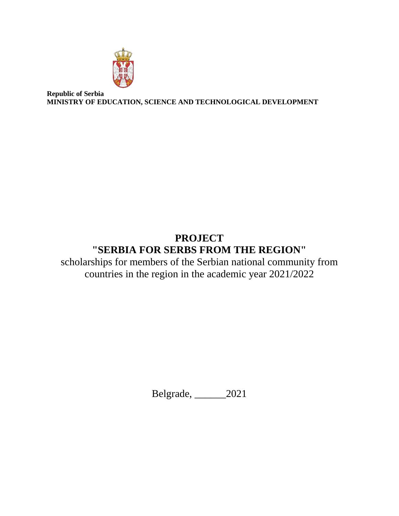

**Republic of Serbia MINISTRY OF EDUCATION, SCIENCE AND TECHNOLOGICAL DEVELOPMENT**

# **PROJECT "SERBIA FOR SERBS FROM THE REGION"**

scholarships for members of the Serbian national community from countries in the region in the academic year 2021/2022

Belgrade, \_\_\_\_\_\_2021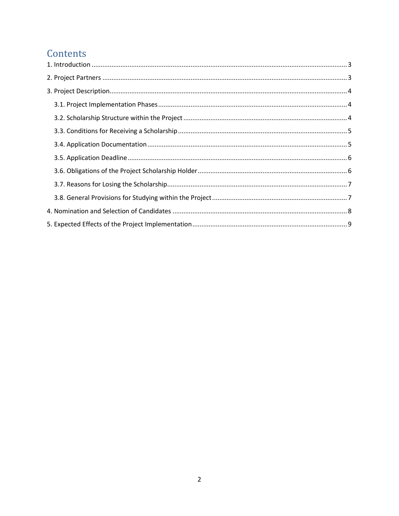## Contents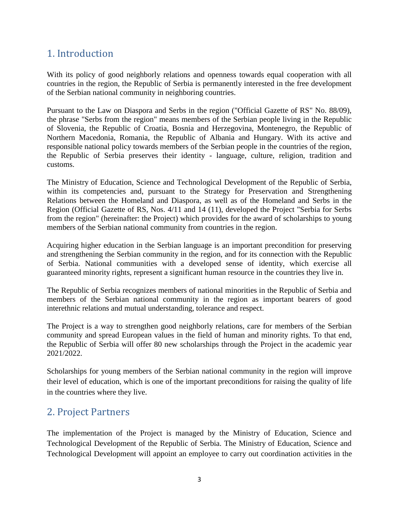### <span id="page-2-0"></span>1. Introduction

With its policy of good neighborly relations and openness towards equal cooperation with all countries in the region, the Republic of Serbia is permanently interested in the free development of the Serbian national community in neighboring countries.

Pursuant to the Law on Diaspora and Serbs in the region ("Official Gazette of RS" No. 88/09), the phrase "Serbs from the region" means members of the Serbian people living in the Republic of Slovenia, the Republic of Croatia, Bosnia and Herzegovina, Montenegro, the Republic of Northern Macedonia, Romania, the Republic of Albania and Hungary. With its active and responsible national policy towards members of the Serbian people in the countries of the region, the Republic of Serbia preserves their identity - language, culture, religion, tradition and customs.

The Ministry of Education, Science and Technological Development of the Republic of Serbia, within its competencies and, pursuant to the Strategy for Preservation and Strengthening Relations between the Homeland and Diaspora, as well as of the Homeland and Serbs in the Region (Official Gazette of RS, Nos. 4/11 and 14 (11), developed the Project "Serbia for Serbs from the region" (hereinafter: the Project) which provides for the award of scholarships to young members of the Serbian national community from countries in the region.

Acquiring higher education in the Serbian language is an important precondition for preserving and strengthening the Serbian community in the region, and for its connection with the Republic of Serbia. National communities with a developed sense of identity, which exercise all guaranteed minority rights, represent a significant human resource in the countries they live in.

The Republic of Serbia recognizes members of national minorities in the Republic of Serbia and members of the Serbian national community in the region as important bearers of good interethnic relations and mutual understanding, tolerance and respect.

The Project is a way to strengthen good neighborly relations, care for members of the Serbian community and spread European values in the field of human and minority rights. To that end, the Republic of Serbia will offer 80 new scholarships through the Project in the academic year 2021/2022.

Scholarships for young members of the Serbian national community in the region will improve their level of education, which is one of the important preconditions for raising the quality of life in the countries where they live.

### <span id="page-2-1"></span>2. Project Partners

The implementation of the Project is managed by the Ministry of Education, Science and Technological Development of the Republic of Serbia. The Ministry of Education, Science and Technological Development will appoint an employee to carry out coordination activities in the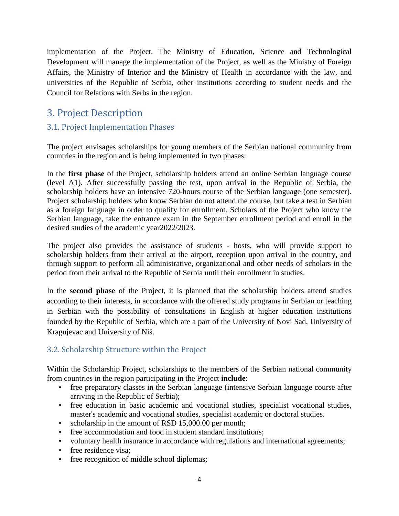implementation of the Project. The Ministry of Education, Science and Technological Development will manage the implementation of the Project, as well as the Ministry of Foreign Affairs, the Ministry of Interior and the Ministry of Health in accordance with the law, and universities of the Republic of Serbia, other institutions according to student needs and the Council for Relations with Serbs in the region.

### <span id="page-3-0"></span>3. Project Description

#### <span id="page-3-1"></span>3.1. Project Implementation Phases

The project envisages scholarships for young members of the Serbian national community from countries in the region and is being implemented in two phases:

In the **first phase** of the Project, scholarship holders attend an online Serbian language course (level A1). After successfully passing the test, upon arrival in the Republic of Serbia, the scholarship holders have an intensive 720-hours course of the Serbian language (one semester). Project scholarship holders who know Serbian do not attend the course, but take a test in Serbian as a foreign language in order to qualify for enrollment. Scholars of the Project who know the Serbian language, take the entrance exam in the September enrollment period and enroll in the desired studies of the academic year2022/2023.

The project also provides the assistance of students - hosts, who will provide support to scholarship holders from their arrival at the airport, reception upon arrival in the country, and through support to perform all administrative, organizational and other needs of scholars in the period from their arrival to the Republic of Serbia until their enrollment in studies.

In the **second phase** of the Project, it is planned that the scholarship holders attend studies according to their interests, in accordance with the offered study programs in Serbian or teaching in Serbian with the possibility of consultations in English at higher education institutions founded by the Republic of Serbia, which are a part of the University of Novi Sad, University of Kragujevac and University of Niš.

#### <span id="page-3-2"></span>3.2. Scholarship Structure within the Project

Within the Scholarship Project, scholarships to the members of the Serbian national community from countries in the region participating in the Project **include**:

- free preparatory classes in the Serbian language (intensive Serbian language course after arriving in the Republic of Serbia);
- free education in basic academic and vocational studies, specialist vocational studies, master's academic and vocational studies, specialist academic or doctoral studies.
- scholarship in the amount of RSD 15,000.00 per month;
- free accommodation and food in student standard institutions;
- voluntary health insurance in accordance with regulations and international agreements;
- free residence visa;
- free recognition of middle school diplomas;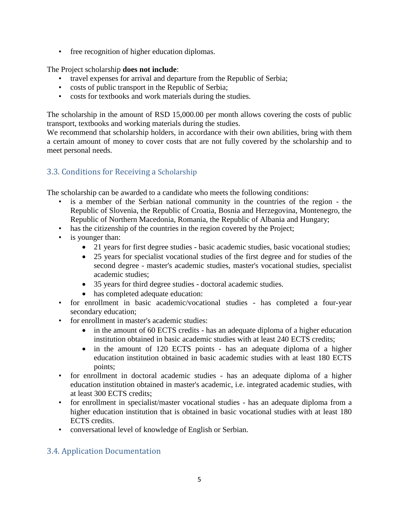• free recognition of higher education diplomas.

The Project scholarship **does not include**:

- travel expenses for arrival and departure from the Republic of Serbia;
- costs of public transport in the Republic of Serbia;
- costs for textbooks and work materials during the studies.

The scholarship in the amount of RSD 15,000.00 per month allows covering the costs of public transport, textbooks and working materials during the studies.

We recommend that scholarship holders, in accordance with their own abilities, bring with them a certain amount of money to cover costs that are not fully covered by the scholarship and to meet personal needs.

#### <span id="page-4-0"></span>3.3. Conditions for Receiving a Scholarship

The scholarship can be awarded to a candidate who meets the following conditions:

- is a member of the Serbian national community in the countries of the region the Republic of Slovenia, the Republic of Croatia, Bosnia and Herzegovina, Montenegro, the Republic of Northern Macedonia, Romania, the Republic of Albania and Hungary;
- has the citizenship of the countries in the region covered by the Project;
- is younger than:
	- 21 years for first degree studies basic academic studies, basic vocational studies;
	- 25 years for specialist vocational studies of the first degree and for studies of the second degree - master's academic studies, master's vocational studies, specialist academic studies;
	- 35 years for third degree studies doctoral academic studies.
	- has completed adequate education:
- for enrollment in basic academic/vocational studies has completed a four-year secondary education;
- for enrollment in master's academic studies:
	- in the amount of 60 ECTS credits has an adequate diploma of a higher education institution obtained in basic academic studies with at least 240 ECTS credits;
	- in the amount of 120 ECTS points has an adequate diploma of a higher education institution obtained in basic academic studies with at least 180 ECTS points;
- for enrollment in doctoral academic studies has an adequate diploma of a higher education institution obtained in master's academic, i.e. integrated academic studies, with at least 300 ECTS credits;
- for enrollment in specialist/master vocational studies has an adequate diploma from a higher education institution that is obtained in basic vocational studies with at least 180 ECTS credits.
- conversational level of knowledge of English or Serbian.

#### <span id="page-4-1"></span>3.4. Application Documentation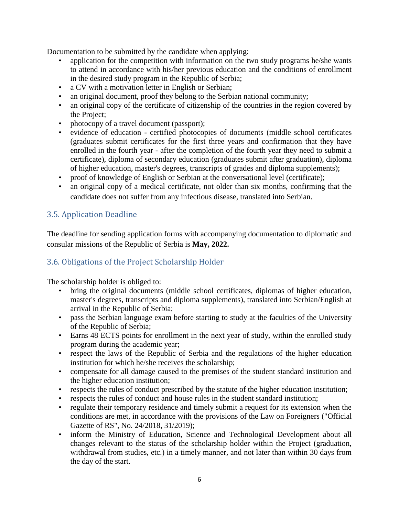Documentation to be submitted by the candidate when applying:

- application for the competition with information on the two study programs he/she wants to attend in accordance with his/her previous education and the conditions of enrollment in the desired study program in the Republic of Serbia;
- a CV with a motivation letter in English or Serbian;
- an original document, proof they belong to the Serbian national community;
- an original copy of the certificate of citizenship of the countries in the region covered by the Project;
- photocopy of a travel document (passport);
- evidence of education certified photocopies of documents (middle school certificates (graduates submit certificates for the first three years and confirmation that they have enrolled in the fourth year - after the completion of the fourth year they need to submit a certificate), diploma of secondary education (graduates submit after graduation), diploma of higher education, master's degrees, transcripts of grades and diploma supplements);
- proof of knowledge of English or Serbian at the conversational level (certificate);
- an original copy of a medical certificate, not older than six months, confirming that the candidate does not suffer from any infectious disease, translated into Serbian.

#### <span id="page-5-0"></span>3.5. Application Deadline

The deadline for sending application forms with accompanying documentation to diplomatic and consular missions of the Republic of Serbia is **May, 2022.**

#### <span id="page-5-1"></span>3.6. Obligations of the Project Scholarship Holder

The scholarship holder is obliged to:

- bring the original documents (middle school certificates, diplomas of higher education, master's degrees, transcripts and diploma supplements), translated into Serbian/English at arrival in the Republic of Serbia;
- pass the Serbian language exam before starting to study at the faculties of the University of the Republic of Serbia;
- Earns 48 ECTS points for enrollment in the next year of study, within the enrolled study program during the academic year;
- respect the laws of the Republic of Serbia and the regulations of the higher education institution for which he/she receives the scholarship;
- compensate for all damage caused to the premises of the student standard institution and the higher education institution;
- respects the rules of conduct prescribed by the statute of the higher education institution;
- respects the rules of conduct and house rules in the student standard institution;
- regulate their temporary residence and timely submit a request for its extension when the conditions are met, in accordance with the provisions of the Law on Foreigners ("Official Gazette of RS", No. 24/2018, 31/2019);
- inform the Ministry of Education, Science and Technological Development about all changes relevant to the status of the scholarship holder within the Project (graduation, withdrawal from studies, etc.) in a timely manner, and not later than within 30 days from the day of the start.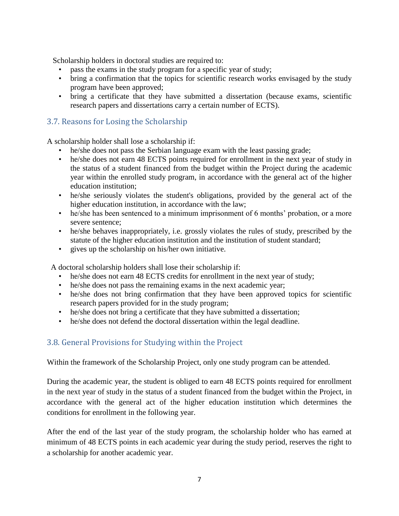Scholarship holders in doctoral studies are required to:

- pass the exams in the study program for a specific year of study;
- bring a confirmation that the topics for scientific research works envisaged by the study program have been approved;
- bring a certificate that they have submitted a dissertation (because exams, scientific research papers and dissertations carry a certain number of ECTS).

#### <span id="page-6-0"></span>3.7. Reasons for Losing the Scholarship

A scholarship holder shall lose a scholarship if:

- he/she does not pass the Serbian language exam with the least passing grade;
- he/she does not earn 48 ECTS points required for enrollment in the next year of study in the status of a student financed from the budget within the Project during the academic year within the enrolled study program, in accordance with the general act of the higher education institution;
- he/she seriously violates the student's obligations, provided by the general act of the higher education institution, in accordance with the law;
- he/she has been sentenced to a minimum imprisonment of 6 months' probation, or a more severe sentence;
- he/she behaves inappropriately, i.e. grossly violates the rules of study, prescribed by the statute of the higher education institution and the institution of student standard;
- gives up the scholarship on his/her own initiative.

A doctoral scholarship holders shall lose their scholarship if:

- he/she does not earn 48 ECTS credits for enrollment in the next year of study;
- he/she does not pass the remaining exams in the next academic year;
- he/she does not bring confirmation that they have been approved topics for scientific research papers provided for in the study program;
- he/she does not bring a certificate that they have submitted a dissertation;
- he/she does not defend the doctoral dissertation within the legal deadline.

#### <span id="page-6-1"></span>3.8. General Provisions for Studying within the Project

Within the framework of the Scholarship Project, only one study program can be attended.

During the academic year, the student is obliged to earn 48 ECTS points required for enrollment in the next year of study in the status of a student financed from the budget within the Project, in accordance with the general act of the higher education institution which determines the conditions for enrollment in the following year.

After the end of the last year of the study program, the scholarship holder who has earned at minimum of 48 ECTS points in each academic year during the study period, reserves the right to a scholarship for another academic year.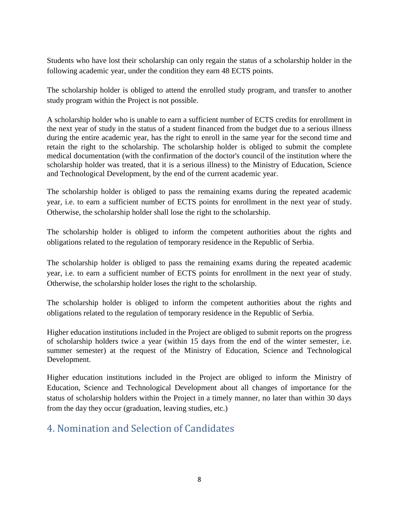Students who have lost their scholarship can only regain the status of a scholarship holder in the following academic year, under the condition they earn 48 ECTS points.

The scholarship holder is obliged to attend the enrolled study program, and transfer to another study program within the Project is not possible.

A scholarship holder who is unable to earn a sufficient number of ECTS credits for enrollment in the next year of study in the status of a student financed from the budget due to a serious illness during the entire academic year, has the right to enroll in the same year for the second time and retain the right to the scholarship. The scholarship holder is obliged to submit the complete medical documentation (with the confirmation of the doctor's council of the institution where the scholarship holder was treated, that it is a serious illness) to the Ministry of Education, Science and Technological Development, by the end of the current academic year.

The scholarship holder is obliged to pass the remaining exams during the repeated academic year, i.e. to earn a sufficient number of ECTS points for enrollment in the next year of study. Otherwise, the scholarship holder shall lose the right to the scholarship.

The scholarship holder is obliged to inform the competent authorities about the rights and obligations related to the regulation of temporary residence in the Republic of Serbia.

The scholarship holder is obliged to pass the remaining exams during the repeated academic year, i.e. to earn a sufficient number of ECTS points for enrollment in the next year of study. Otherwise, the scholarship holder loses the right to the scholarship.

The scholarship holder is obliged to inform the competent authorities about the rights and obligations related to the regulation of temporary residence in the Republic of Serbia.

Higher education institutions included in the Project are obliged to submit reports on the progress of scholarship holders twice a year (within 15 days from the end of the winter semester, i.e. summer semester) at the request of the Ministry of Education, Science and Technological Development.

Higher education institutions included in the Project are obliged to inform the Ministry of Education, Science and Technological Development about all changes of importance for the status of scholarship holders within the Project in a timely manner, no later than within 30 days from the day they occur (graduation, leaving studies, etc.)

### <span id="page-7-0"></span>4. Nomination and Selection of Candidates